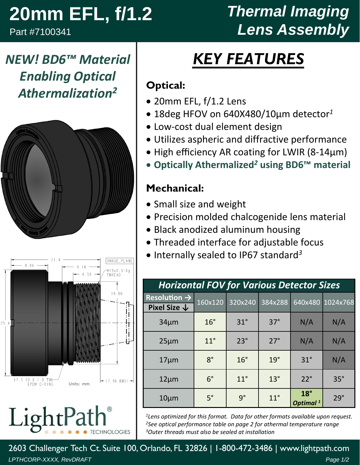# **20mm EFL, f/1.2**

Part #7100341

## *Thermal Imaging Lens Assembly*

*NEW! BD6™ Material Enabling Optical Athermalization2*





LightPat *TECHNOLOGIES* 

# *KEY FEATURES*

#### **Optical:**

- 20mm EFL, f/1.2 Lens
- 18deg HFOV on 640X480/10µm detector*<sup>1</sup>*
- Low‐cost dual element design
- Utilizes aspheric and diffractive performance
- High efficiency AR coating for LWIR (8-14µm)
- **Optically Athermalized***<sup>2</sup>* **using BD6™ material**

#### **Mechanical:**

- Small size and weight
- Precision molded chalcogenide lens material
- Black anodized aluminum housing
- Threaded interface for adjustable focus
- Internally sealed to IP67 standard<sup>3</sup>

| <b>Horizontal FOV for Various Detector Sizes</b> |              |              |              |                                    |                  |  |  |  |
|--------------------------------------------------|--------------|--------------|--------------|------------------------------------|------------------|--|--|--|
| Resolution $\rightarrow$                         | 160x120      | 320x240      | 384x288      |                                    | 640x480 1024x768 |  |  |  |
| Pixel Size $\downarrow$                          |              |              |              |                                    |                  |  |  |  |
| $34 \mu m$                                       | $16^\circ$   | $31^\circ$   | $37^\circ$   | N/A                                | N/A              |  |  |  |
| $25 \mu m$                                       | $11^{\circ}$ | $23^\circ$   | $27^\circ$   | N/A                                | N/A              |  |  |  |
| $17 \mu m$                                       | $8^{\circ}$  | $16^\circ$   | $19^\circ$   | $31^\circ$                         | N/A              |  |  |  |
| $12 \mu m$                                       | $6^{\circ}$  | $11^{\circ}$ | $13^{\circ}$ | $22^\circ$                         | $35^\circ$       |  |  |  |
| $10 \mu m$                                       | $5^\circ$    | $9^{\circ}$  | $11^{\circ}$ | $18^\circ$<br>Optimal <sup>1</sup> | $29^\circ$       |  |  |  |

*1Lens optimized for this format. Data for other formats available upon request. 2See optical performance table on page 2 for athermal temperature range 3Outer threads must also be sealed at installation*

2603 Challenger Tech Ct. Suite 100, Orlando, FL 32826 | 1-800-472-3486 | www.lightpath.com *LPTHCORP-XXXX, RevDRAFT Page 1/2*